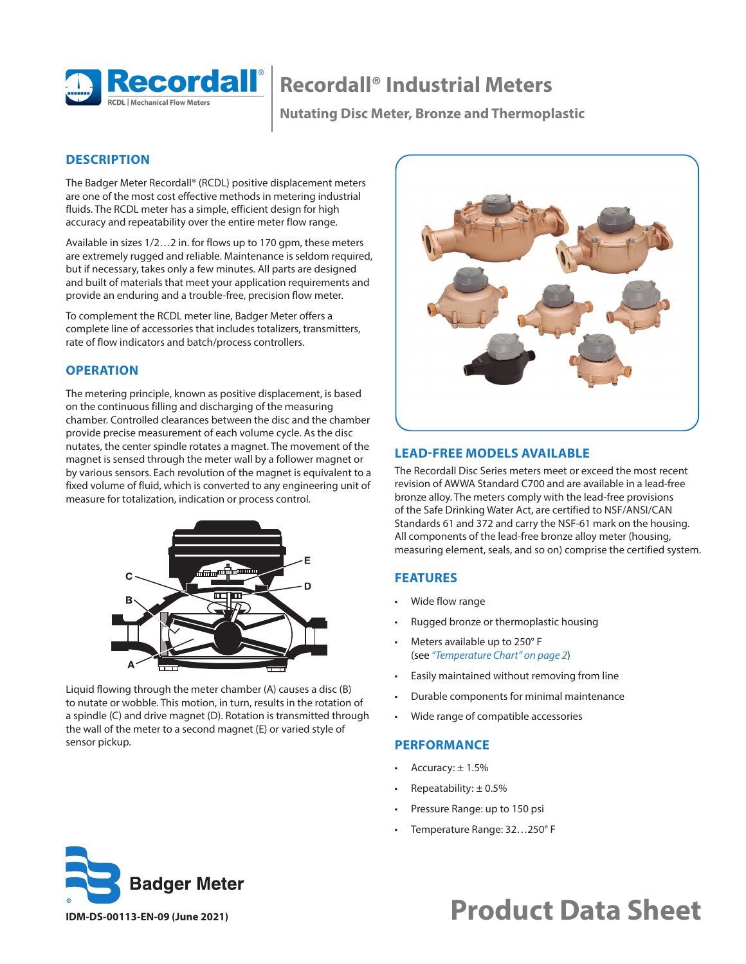

# **Recordall® Industrial Meters**

**Nutating Disc Meter, Bronze and Thermoplastic**

# **DESCRIPTION**

The Badger Meter Recordall® (RCDL) positive displacement meters are one of the most cost effective methods in metering industrial fluids. The RCDL meter has a simple, efficient design for high accuracy and repeatability over the entire meter flow range.

Available in sizes 1/2…2 in. for flows up to 170 gpm, these meters are extremely rugged and reliable. Maintenance is seldom required, but if necessary, takes only a few minutes. All parts are designed and built of materials that meet your application requirements and provide an enduring and a trouble-free, precision flow meter.

To complement the RCDL meter line, Badger Meter offers a complete line of accessories that includes totalizers, transmitters, rate of flow indicators and batch/process controllers.

# **OPERATION**

The metering principle, known as positive displacement, is based on the continuous filling and discharging of the measuring chamber. Controlled clearances between the disc and the chamber provide precise measurement of each volume cycle. As the disc nutates, the center spindle rotates a magnet. The movement of the magnet is sensed through the meter wall by a follower magnet or by various sensors. Each revolution of the magnet is equivalent to a fixed volume of fluid, which is converted to any engineering unit of measure for totalization, indication or process control.



Liquid flowing through the meter chamber (A) causes a disc (B) to nutate or wobble. This motion, in turn, results in the rotation of a spindle (C) and drive magnet (D). Rotation is transmitted through the wall of the meter to a second magnet (E) or varied style of sensor pickup.



# **LEAD-FREE MODELS AVAILABLE**

The Recordall Disc Series meters meet or exceed the most recent revision of AWWA Standard C700 and are available in a lead-free bronze alloy. The meters comply with the lead-free provisions of the Safe Drinking Water Act, are certified to NSF/ANSI/CAN Standards 61 and 372 and carry the NSF-61 mark on the housing. All components of the lead-free bronze alloy meter (housing, measuring element, seals, and so on) comprise the certified system.

# **FEATURES**

- Wide flow range
- Rugged bronze or thermoplastic housing
- Meters available up to 250° F (see *["Temperature Chart" on page 2](#page-1-0)*)
- Easily maintained without removing from line
- Durable components for minimal maintenance
- Wide range of compatible accessories

#### **PERFORMANCE**

- Accuracy:  $\pm$  1.5%
- Repeatability:  $\pm$  0.5%
- Pressure Range: up to 150 psi
- Temperature Range: 32…250° F



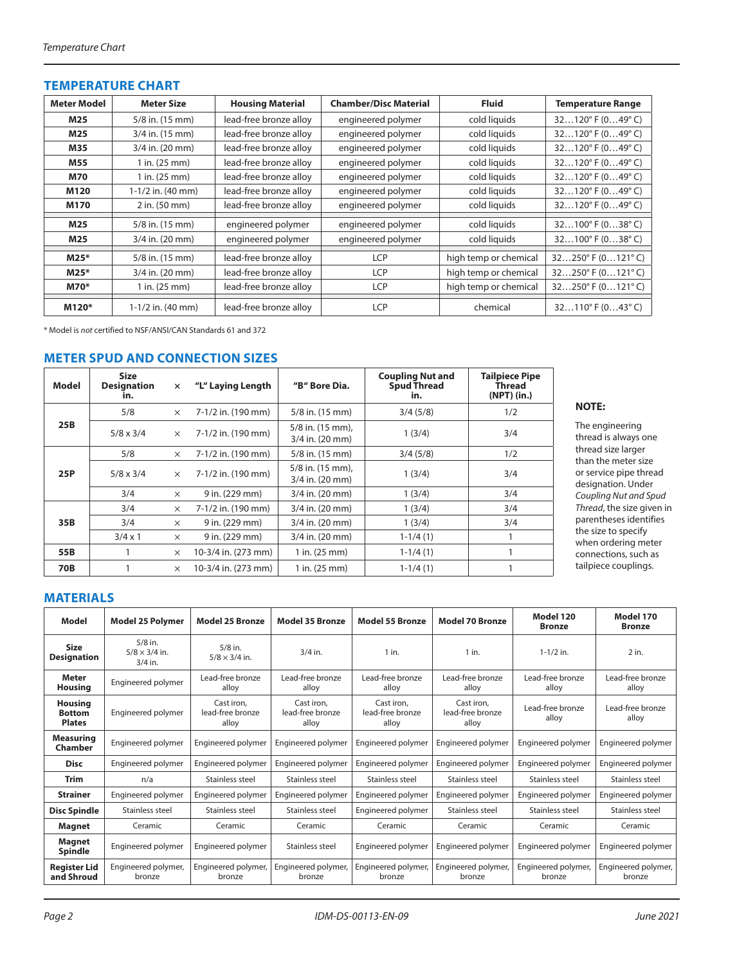#### <span id="page-1-0"></span>**TEMPERATURE CHART**

| <b>Meter Model</b> | Meter Size            | <b>Housing Material</b> | <b>Chamber/Disc Material</b> | <b>Fluid</b>          | <b>Temperature Range</b>             |
|--------------------|-----------------------|-------------------------|------------------------------|-----------------------|--------------------------------------|
| M25                | 5/8 in. (15 mm)       | lead-free bronze alloy  | engineered polymer           | cold liquids          | 32120°F (049°C)                      |
| M25                | 3/4 in. (15 mm)       | lead-free bronze alloy  | engineered polymer           | cold liquids          | 32120°F (049°C)                      |
| <b>M35</b>         | 3/4 in. (20 mm)       | lead-free bronze alloy  | engineered polymer           | cold liquids          | 32120°F (049°C)                      |
| <b>M55</b>         | 1 in. (25 mm)         | lead-free bronze alloy  | engineered polymer           | cold liquids          | $32120^{\circ}$ F (049 $^{\circ}$ C) |
| <b>M70</b>         | 1 in. (25 mm)         | lead-free bronze alloy  | engineered polymer           | cold liquids          | 32120°F (049°C)                      |
| M120               | $1-1/2$ in. (40 mm)   | lead-free bronze alloy  | engineered polymer           | cold liquids          | 32120°F (049°C)                      |
| M170               | 2 in. (50 mm)         | lead-free bronze alloy  | engineered polymer           | cold liquids          | 32120°F (049°C)                      |
| M25                | 5/8 in. (15 mm)       | engineered polymer      | engineered polymer           | cold liquids          | 32100°F (038°C)                      |
| M25                | 3/4 in. (20 mm)       | engineered polymer      | engineered polymer           | cold liquids          | 32100°F (038°C)                      |
| $M25*$             | 5/8 in. (15 mm)       | lead-free bronze alloy  | LCP                          | high temp or chemical | $32250^{\circ}$ F (0121°C)           |
| $M25*$             | 3/4 in. (20 mm)       | lead-free bronze alloy  | LCP                          | high temp or chemical | 32250°F (0121°C)                     |
| M70*               | 1 in. (25 mm)         | lead-free bronze alloy  | <b>LCP</b>                   | high temp or chemical | 32250°F (0121°C)                     |
| M120*              | $1-1/2$ in. $(40$ mm) | lead-free bronze alloy  | LCP                          | chemical              | 32110°F (043°C)                      |

\* Model is *not* certified to NSF/ANSI/CAN Standards 61 and 372

# **METER SPUD AND CONNECTION SIZES**

| Model | <b>Size</b><br><b>Designation</b><br>in. | $\times$ | "L" Laying Length   | "B" Bore Dia.                           | <b>Coupling Nut and</b><br><b>Spud Thread</b><br>in. | <b>Tailpiece Pipe</b><br><b>Thread</b><br>$(NPT)$ (in.) |
|-------|------------------------------------------|----------|---------------------|-----------------------------------------|------------------------------------------------------|---------------------------------------------------------|
|       | 5/8                                      | $\times$ | 7-1/2 in. (190 mm)  | 5/8 in. (15 mm)                         | 3/4(5/8)                                             | 1/2                                                     |
| 25B   | $5/8 \times 3/4$                         | $\times$ | 7-1/2 in. (190 mm)  | $5/8$ in. $(15$ mm).<br>3/4 in. (20 mm) | 1(3/4)                                               | 3/4                                                     |
|       | 5/8                                      | $\times$ | 7-1/2 in. (190 mm)  | 5/8 in. (15 mm)                         | 3/4(5/8)                                             | 1/2                                                     |
| 25P   | $5/8 \times 3/4$                         | $\times$ | 7-1/2 in. (190 mm)  | 5/8 in. (15 mm),<br>3/4 in. (20 mm)     | 1(3/4)                                               | 3/4                                                     |
|       | 3/4                                      | $\times$ | 9 in. (229 mm)      | 3/4 in. (20 mm)                         | 1(3/4)                                               | 3/4                                                     |
|       | 3/4                                      | $\times$ | 7-1/2 in. (190 mm)  | 3/4 in. (20 mm)                         | 1(3/4)                                               | 3/4                                                     |
| 35B   | 3/4                                      | $\times$ | 9 in. (229 mm)      | 3/4 in. (20 mm)                         | 1(3/4)                                               | 3/4                                                     |
|       | $3/4 \times 1$                           | $\times$ | 9 in. (229 mm)      | 3/4 in. (20 mm)                         | $1-1/4(1)$                                           |                                                         |
| 55B   |                                          | $\times$ | 10-3/4 in. (273 mm) | $1$ in. (25 mm)                         | $1-1/4(1)$                                           |                                                         |
| 70B   |                                          | $\times$ | 10-3/4 in. (273 mm) | $1$ in. (25 mm)                         | $1-1/4(1)$                                           |                                                         |

#### **NOTE:**

 The engineering thread is always one thread size larger than the meter size or service pipe thread designation. Under *Coupling Nut and Spud Thread*, the size given in parentheses identifies the size to specify when ordering meter connections, such as tailpiece couplings.

#### **MATERIALS**

| Model                                            | <b>Model 25 Polymer</b>                        | <b>Model 25 Bronze</b>                  | <b>Model 35 Bronze</b>                  | <b>Model 55 Bronze</b>                  | <b>Model 70 Bronze</b>                  | Model 120<br><b>Bronze</b>    | Model 170<br><b>Bronze</b>    |
|--------------------------------------------------|------------------------------------------------|-----------------------------------------|-----------------------------------------|-----------------------------------------|-----------------------------------------|-------------------------------|-------------------------------|
| <b>Size</b><br><b>Designation</b>                | $5/8$ in.<br>$5/8 \times 3/4$ in.<br>$3/4$ in. | $5/8$ in.<br>$5/8 \times 3/4$ in.       | $3/4$ in.                               | 1 in.                                   | $1$ in.                                 | $1 - 1/2$ in.                 | 2 in.                         |
| Meter<br><b>Housing</b>                          | Engineered polymer                             | Lead-free bronze<br>alloy               | Lead-free bronze<br>alloy               | Lead-free bronze<br>alloy               | Lead-free bronze<br>alloy               | Lead-free bronze<br>alloy     | Lead-free bronze<br>alloy     |
| <b>Housing</b><br><b>Bottom</b><br><b>Plates</b> | Engineered polymer                             | Cast iron.<br>lead-free bronze<br>alloy | Cast iron.<br>lead-free bronze<br>alloy | Cast iron.<br>lead-free bronze<br>alloy | Cast iron.<br>lead-free bronze<br>alloy | Lead-free bronze<br>alloy     | Lead-free bronze<br>alloy     |
| <b>Measuring</b><br>Chamber                      | Engineered polymer                             | Engineered polymer                      | Engineered polymer                      | Engineered polymer                      | Engineered polymer                      | Engineered polymer            | Engineered polymer            |
| <b>Disc</b>                                      | Engineered polymer                             | Engineered polymer                      | Engineered polymer                      | Engineered polymer                      | Engineered polymer                      | Engineered polymer            | Engineered polymer            |
| <b>Trim</b>                                      | n/a                                            | Stainless steel                         | Stainless steel                         | Stainless steel                         | Stainless steel                         | Stainless steel               | Stainless steel               |
| <b>Strainer</b>                                  | Engineered polymer                             | Engineered polymer                      | Engineered polymer                      | Engineered polymer                      | Engineered polymer                      | Engineered polymer            | Engineered polymer            |
| <b>Disc Spindle</b>                              | Stainless steel                                | Stainless steel                         | Stainless steel                         | Engineered polymer                      | Stainless steel                         | Stainless steel               | Stainless steel               |
| Magnet                                           | Ceramic                                        | Ceramic                                 | Ceramic                                 | Ceramic                                 | Ceramic                                 | Ceramic                       | Ceramic                       |
| Magnet<br><b>Spindle</b>                         | Engineered polymer                             | Engineered polymer                      | Stainless steel                         | Engineered polymer                      | Engineered polymer                      | Engineered polymer            | Engineered polymer            |
| <b>Register Lid</b><br>and Shroud                | Engineered polymer,<br>bronze                  | Engineered polymer,<br>bronze           | Engineered polymer,<br>bronze           | Engineered polymer,<br>bronze           | Engineered polymer,<br>bronze           | Engineered polymer,<br>bronze | Engineered polymer,<br>bronze |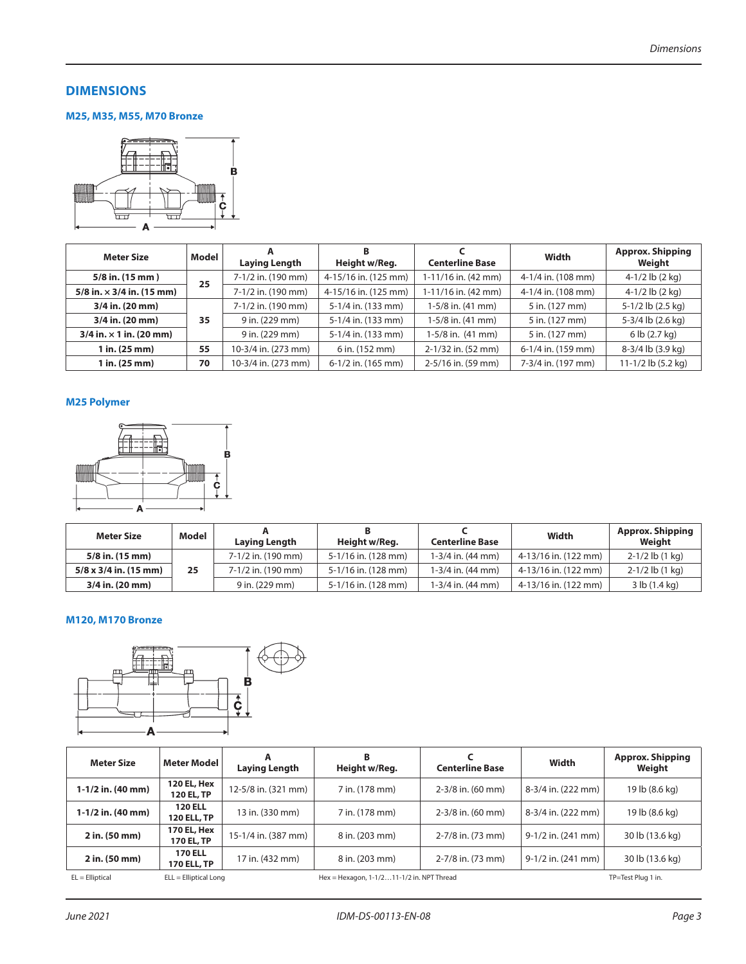# **DIMENSIONS**

#### **M25, M35, M55, M70 Bronze**



| <b>Meter Size</b>                  | Model | А<br><b>Laying Length</b> | в<br>Height w/Reg.   | <b>Centerline Base</b> | Width              | <b>Approx. Shipping</b><br>Weight |
|------------------------------------|-------|---------------------------|----------------------|------------------------|--------------------|-----------------------------------|
| $5/8$ in. (15 mm)                  | 25    | 7-1/2 in. (190 mm)        | 4-15/16 in. (125 mm) | 1-11/16 in. (42 mm)    | 4-1/4 in. (108 mm) | $4-1/2$ lb $(2 \text{ kg})$       |
| $5/8$ in. $\times$ 3/4 in. (15 mm) |       | 7-1/2 in. (190 mm)        | 4-15/16 in. (125 mm) | 1-11/16 in. (42 mm)    | 4-1/4 in. (108 mm) | $4-1/2$ lb $(2 \text{ kg})$       |
| 3/4 in. (20 mm)                    |       | 7-1/2 in. (190 mm)        | 5-1/4 in. (133 mm)   | 1-5/8 in. (41 mm)      | 5 in. (127 mm)     | 5-1/2 lb (2.5 kg)                 |
| $3/4$ in. (20 mm)                  | 35    | 9 in. (229 mm)            | 5-1/4 in. (133 mm)   | 1-5/8 in. (41 mm)      | 5 in. (127 mm)     | 5-3/4 lb (2.6 kg)                 |
| $3/4$ in. $\times$ 1 in. (20 mm)   |       | 9 in. (229 mm)            | 5-1/4 in. (133 mm)   | 1-5/8 in. (41 mm)      | 5 in. (127 mm)     | 6 lb (2.7 kg)                     |
| 1 in. (25 mm)                      | 55    | 10-3/4 in. (273 mm)       | 6 in. (152 mm)       | 2-1/32 in. (52 mm)     | 6-1/4 in. (159 mm) | 8-3/4 lb (3.9 kg)                 |
| 1 in. (25 mm)                      | 70    | 10-3/4 in. (273 mm)       | 6-1/2 in. (165 mm)   | 2-5/16 in. (59 mm)     | 7-3/4 in. (197 mm) | $11 - 1/2$ lb $(5.2$ kg)          |

# **M25 Polymer**



| <b>Meter Size</b>            | Model | Laying Length      | Height w/Reg.       | <b>Centerline Base</b> | Width                | <b>Approx. Shipping</b><br>Weight |
|------------------------------|-------|--------------------|---------------------|------------------------|----------------------|-----------------------------------|
| 5/8 in. (15 mm)              |       | 7-1/2 in. (190 mm) | 5-1/16 in. (128 mm) | 1-3/4 in. (44 mm)      | 4-13/16 in. (122 mm) | $2 - 1/2$ lb $(1$ kg)             |
| $5/8 \times 3/4$ in. (15 mm) | 25    | 7-1/2 in. (190 mm) | 5-1/16 in. (128 mm) | 1-3/4 in. (44 mm)      | 4-13/16 in. (122 mm) | $2 - 1/2$ lb $(1$ kg)             |
| $3/4$ in. (20 mm)            |       | 9 in. (229 mm)     | 5-1/16 in. (128 mm) | 1-3/4 in. (44 mm)      | 4-13/16 in. (122 mm) | 3 lb (1.4 kg)                     |

#### **M120, M170 Bronze**



| <b>Meter Size</b>   | <b>Meter Model</b>                   | <b>Laying Length</b> | в<br>Height w/Reg.                        | <b>Centerline Base</b> | Width                | <b>Approx. Shipping</b><br>Weight |
|---------------------|--------------------------------------|----------------------|-------------------------------------------|------------------------|----------------------|-----------------------------------|
| $1-1/2$ in. (40 mm) | 120 EL, Hex<br>120 EL, TP            | 12-5/8 in. (321 mm)  | 7 in. (178 mm)                            | 2-3/8 in. (60 mm)      | 8-3/4 in. (222 mm)   | 19 lb (8.6 kg)                    |
| $1-1/2$ in. (40 mm) | <b>120 ELL</b><br><b>120 ELL, TP</b> | 13 in. (330 mm)      | 7 in. (178 mm)                            | $2-3/8$ in. (60 mm)    | 8-3/4 in. (222 mm)   | 19 lb (8.6 kg)                    |
| 2 in. (50 mm)       | 170 EL, Hex<br>170 EL, TP            | 15-1/4 in. (387 mm)  | 8 in. (203 mm)                            | 2-7/8 in. (73 mm)      | 9-1/2 in. (241 mm)   | 30 lb (13.6 kg)                   |
| 2 in. (50 mm)       | <b>170 ELL</b><br>170 ELL, TP        | 17 in. (432 mm)      | 8 in. (203 mm)                            | 2-7/8 in. (73 mm)      | $9-1/2$ in. (241 mm) | 30 lb (13.6 kg)                   |
| $EL = Elliptical$   | $ELL = Elliptical Long$              |                      | Hex = Hexagon, 1-1/211-1/2 in. NPT Thread |                        |                      | TP=Test Plug 1 in.                |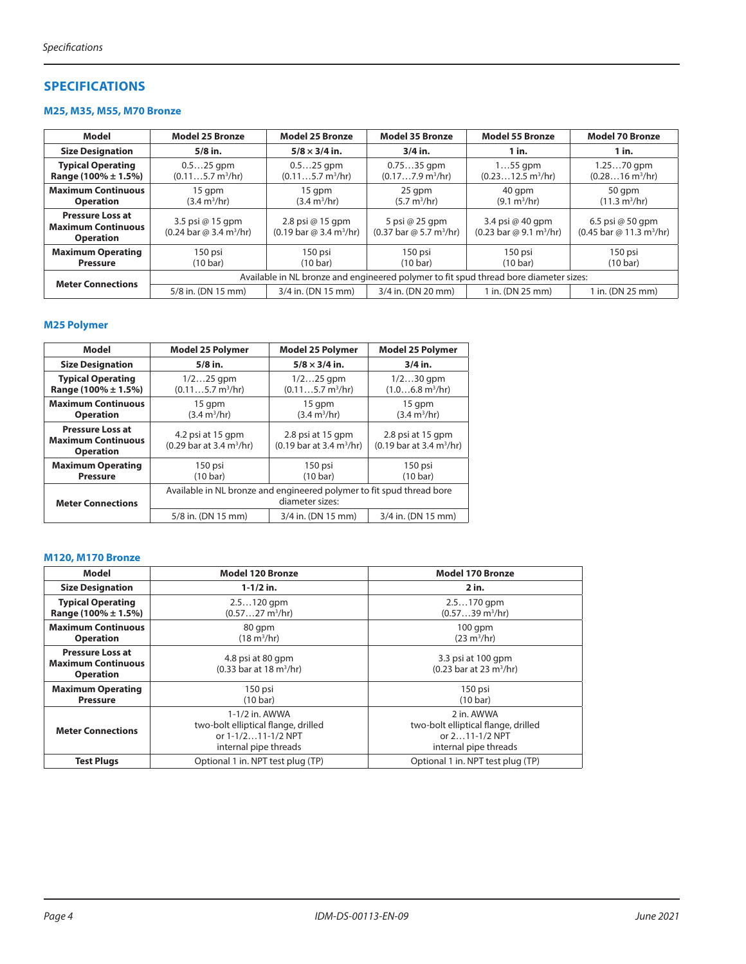# **SPECIFICATIONS**

#### **M25, M35, M55, M70 Bronze**

| Model                                                                    | <b>Model 25 Bronze</b>                                                        | <b>Model 25 Bronze</b>                                                          | <b>Model 35 Bronze</b>                                                     | <b>Model 55 Bronze</b>                                                                | <b>Model 70 Bronze</b>                                                         |
|--------------------------------------------------------------------------|-------------------------------------------------------------------------------|---------------------------------------------------------------------------------|----------------------------------------------------------------------------|---------------------------------------------------------------------------------------|--------------------------------------------------------------------------------|
| <b>Size Designation</b>                                                  | $5/8$ in.                                                                     | $5/8 \times 3/4$ in.                                                            | $3/4$ in.                                                                  | 1 in.                                                                                 | 1 in.                                                                          |
| <b>Typical Operating</b><br>Range $(100\% \pm 1.5\%)$                    | $0.525$ qpm<br>(0.115.7 m <sup>3</sup> /hr)                                   | $0.525$ qpm<br>(0.115.7 m <sup>3</sup> /hr)                                     | $0.7535$ gpm<br>(0.177.9 m <sup>3</sup> /hr)                               | $155$ qpm<br>(0.2312.5 m <sup>3</sup> /hr)                                            | $1.2570$ qpm<br>$(0.2816 \text{ m}^3/\text{hr})$                               |
| <b>Maximum Continuous</b><br><b>Operation</b>                            | $15$ qpm<br>$(3.4 \text{ m}^3/\text{hr})$                                     | $15$ qpm<br>$(3.4 \text{ m}^3/\text{hr})$                                       | 25 qpm<br>$(5.7 \text{ m}^3/\text{hr})$                                    | 40 qpm<br>$(9.1 \text{ m}^3/\text{hr})$                                               | 50 gpm<br>$(11.3 \text{ m}^3/\text{hr})$                                       |
| <b>Pressure Loss at</b><br><b>Maximum Continuous</b><br><b>Operation</b> | 3.5 psi @ 15 gpm<br>$(0.24 \text{ bar} \text{ } @ 3.4 \text{ m}^3/\text{hr})$ | 2.8 psi @ $15$ gpm<br>$(0.19 \text{ bar} \text{ @ } 3.4 \text{ m}^3/\text{hr})$ | 5 psi @ $25$ gpm<br>$(0.37 \text{ bar} \otimes 5.7 \text{ m}^3/\text{hr})$ | 3.4 psi @ 40 qpm<br>$(0.23 \text{ bar} \otimes 9.1 \text{ m}^3/\text{hr})$            | 6.5 psi @ 50 gpm<br>$(0.45 \text{ bar} \text{ @ } 11.3 \text{ m}^3/\text{hr})$ |
| <b>Maximum Operating</b><br><b>Pressure</b>                              | 150 psi<br>(10 bar)                                                           | $150$ psi<br>(10 bar)                                                           | 150 psi<br>(10 bar)                                                        | 150 psi<br>(10 bar)                                                                   | $150$ psi<br>(10 bar)                                                          |
|                                                                          |                                                                               |                                                                                 |                                                                            | Available in NL bronze and engineered polymer to fit spud thread bore diameter sizes: |                                                                                |
| <b>Meter Connections</b>                                                 | 5/8 in. (DN 15 mm)                                                            | 3/4 in. (DN 15 mm)                                                              | 3/4 in. (DN 20 mm)                                                         | 1 in. (DN 25 mm)                                                                      | 1 in. (DN 25 mm)                                                               |

#### **M25 Polymer**

| Model                                                                    | <b>Model 25 Polymer</b>                                                                  | <b>Model 25 Polymer</b>                                     | <b>Model 25 Polymer</b>                                     |
|--------------------------------------------------------------------------|------------------------------------------------------------------------------------------|-------------------------------------------------------------|-------------------------------------------------------------|
| <b>Size Designation</b>                                                  | $5/8$ in.                                                                                | $5/8 \times 3/4$ in.                                        | $3/4$ in.                                                   |
| <b>Typical Operating</b><br>Range $(100\% \pm 1.5\%)$                    | $1/225$ gpm<br>(0.115.7 m <sup>3</sup> /hr)                                              | $1/225$ gpm<br>(0.115.7 m <sup>3</sup> /hr)                 | $1/230$ gpm<br>(1.06.8 m <sup>3</sup> /hr)                  |
| <b>Maximum Continuous</b><br><b>Operation</b>                            | $15$ qpm<br>(3.4 m <sup>3</sup> /hr)                                                     | $15$ gpm<br>$(3.4 \text{ m}^3/\text{hr})$                   | 15 gpm<br>$(3.4 \text{ m}^3/\text{hr})$                     |
| <b>Pressure Loss at</b><br><b>Maximum Continuous</b><br><b>Operation</b> | 4.2 psi at 15 gpm<br>$(0.29$ bar at 3.4 m <sup>3</sup> /hr)                              | 2.8 psi at 15 gpm<br>$(0.19$ bar at 3.4 m <sup>3</sup> /hr) | 2.8 psi at 15 gpm<br>$(0.19$ bar at 3.4 m <sup>3</sup> /hr) |
| <b>Maximum Operating</b><br><b>Pressure</b>                              | 150 psi<br>$(10 \text{ bar})$                                                            | 150 psi<br>$(10 \text{ bar})$                               | 150 psi<br>$(10 \text{ bar})$                               |
| <b>Meter Connections</b>                                                 | Available in NL bronze and engineered polymer to fit spud thread bore<br>diameter sizes: |                                                             |                                                             |
|                                                                          | 5/8 in. (DN 15 mm)                                                                       | 3/4 in. (DN 15 mm)                                          | 3/4 in. (DN 15 mm)                                          |

#### **M120, M170 Bronze**

| Model                                                                    | <b>Model 120 Bronze</b>                                                                              | <b>Model 170 Bronze</b>                                                                     |
|--------------------------------------------------------------------------|------------------------------------------------------------------------------------------------------|---------------------------------------------------------------------------------------------|
| <b>Size Designation</b>                                                  | $1 - 1/2$ in.                                                                                        | $2$ in.                                                                                     |
| <b>Typical Operating</b><br>Range (100% ± 1.5%)                          | $2.5120$ gpm<br>$(0.5727 \text{ m}^3/\text{hr})$                                                     | $2.5170$ gpm<br>$(0.5739 \text{ m}^3/\text{hr})$                                            |
| <b>Maximum Continuous</b><br><b>Operation</b>                            | 80 gpm<br>$(18 \text{ m}^3/\text{hr})$                                                               | $100$ gpm<br>$(23 \text{ m}^3/\text{hr})$                                                   |
| <b>Pressure Loss at</b><br><b>Maximum Continuous</b><br><b>Operation</b> | 4.8 psi at 80 qpm<br>$(0.33$ bar at 18 m <sup>3</sup> /hr)                                           | 3.3 psi at 100 gpm<br>$(0.23$ bar at 23 m <sup>3</sup> /hr)                                 |
| <b>Maximum Operating</b><br><b>Pressure</b>                              | 150 psi<br>$(10 \text{ bar})$                                                                        | 150 psi<br>$(10 \text{ bar})$                                                               |
| <b>Meter Connections</b>                                                 | 1-1/2 in. AWWA<br>two-bolt elliptical flange, drilled<br>or 1-1/211-1/2 NPT<br>internal pipe threads | 2 in AWWA<br>two-bolt elliptical flange, drilled<br>or 211-1/2 NPT<br>internal pipe threads |
| <b>Test Plugs</b>                                                        | Optional 1 in. NPT test plug (TP)                                                                    | Optional 1 in. NPT test plug (TP)                                                           |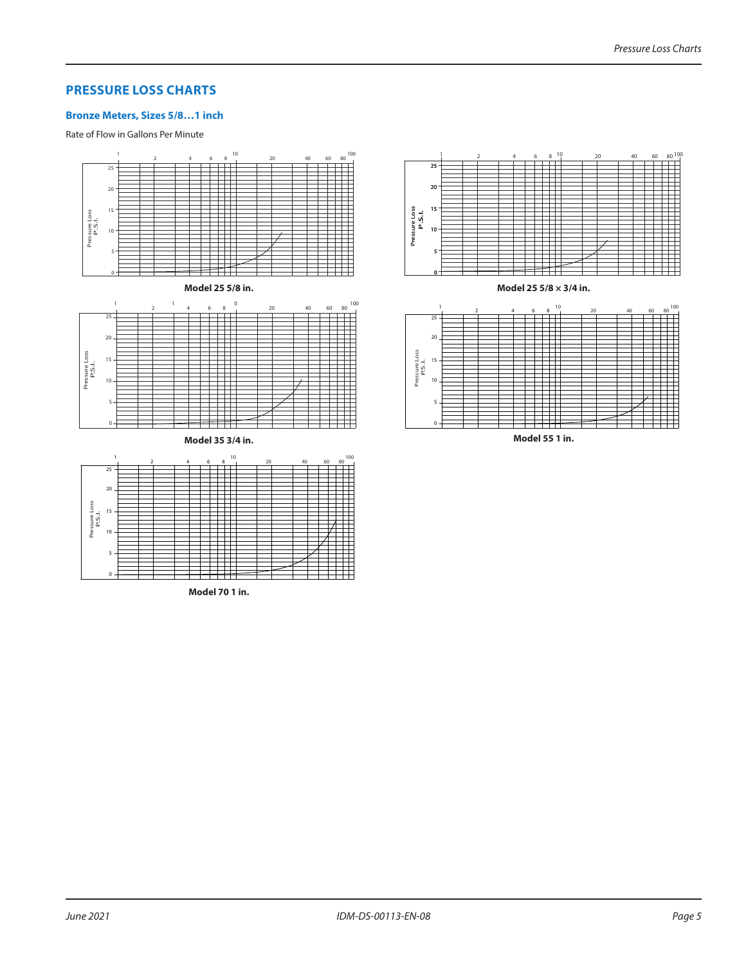# **PRESSURE LOSS CHARTS**

#### **Bronze Meters, Sizes 5/8…1 inch**

Rate of Flow in Gallons Per Minute



**Model 70 1 in.**



**Model 25 5/8 × 3/4 in.**



**Model 55 1 in.**

0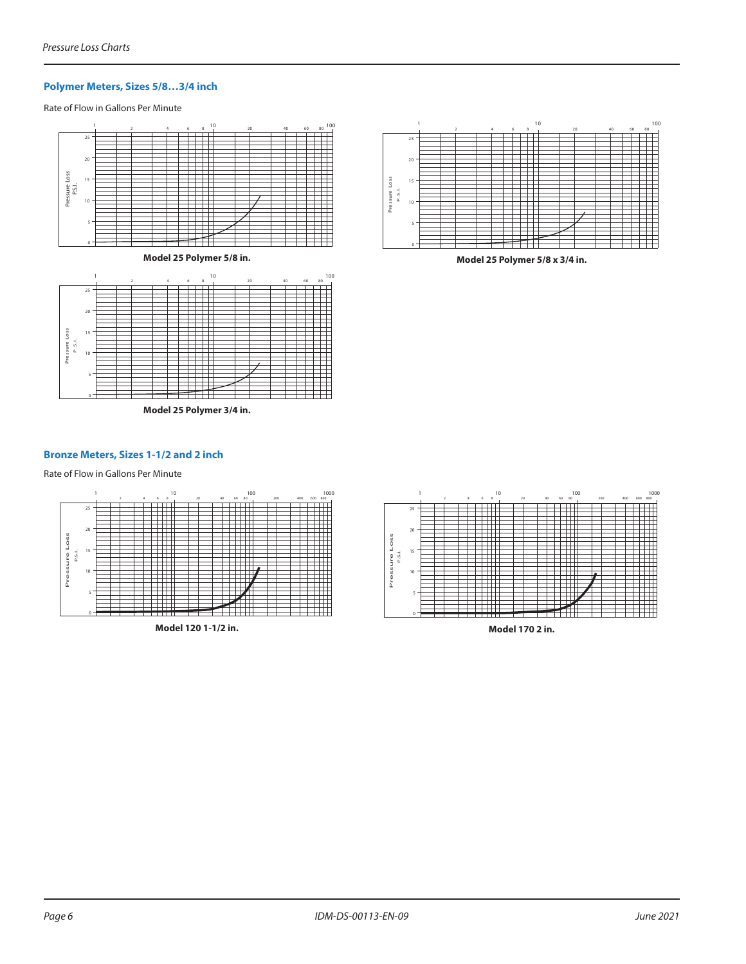#### **Polymer Meters, Sizes 5/8…3/4 inch**

Rate of Flow in Gallons Per Minute



**Model 25 Polymer 3/4 in.**

#### **Bronze Meters, Sizes 1-1/2 and 2 inch**

Rate of Flow in Gallons Per Minute



**Model 120 1-1/2 in.**



**Model 25 Polymer 5/8 x 3/4 in.**



**Model 170 2 in.**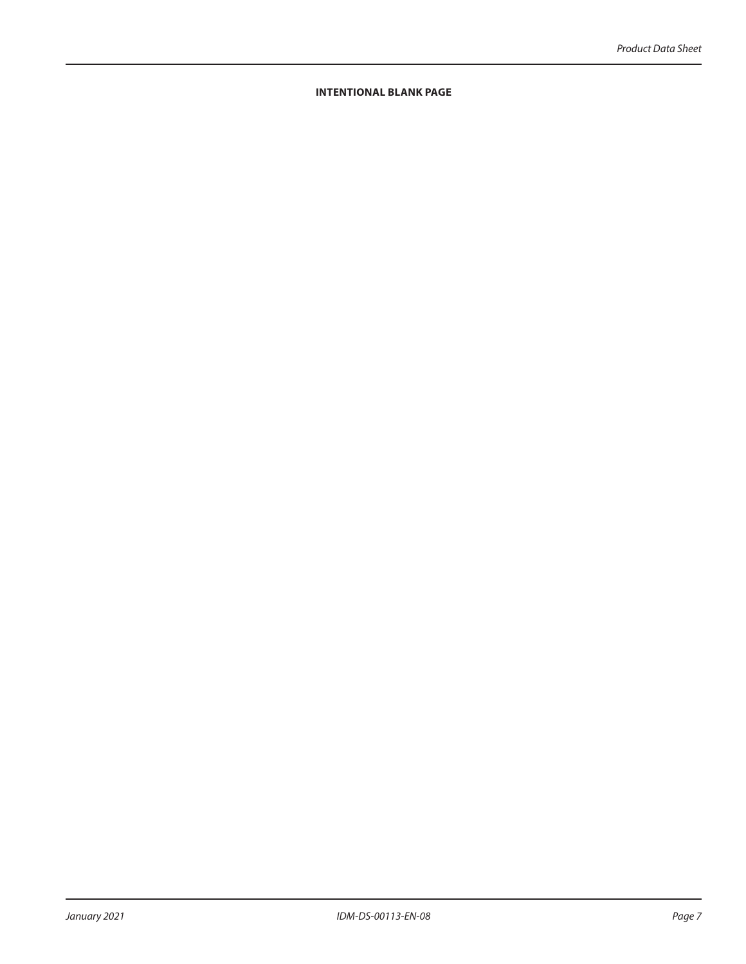#### **INTENTIONAL BLANK PAGE**